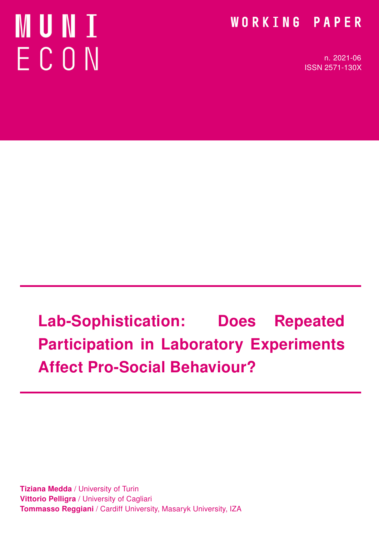# **MUNT** ECON

### WORKING PAPER

n. 2021-06 ISSN 2571-130X

# Lab-Sophistication: Does Repeated Participation in Laboratory Experiments Affect Pro-Social Behaviour?

**Tiziana Medda / University of Turin Vittorio Pelligra / University of Cagliari** Tommasso Reggiani / Cardiff University, Masaryk University, IZA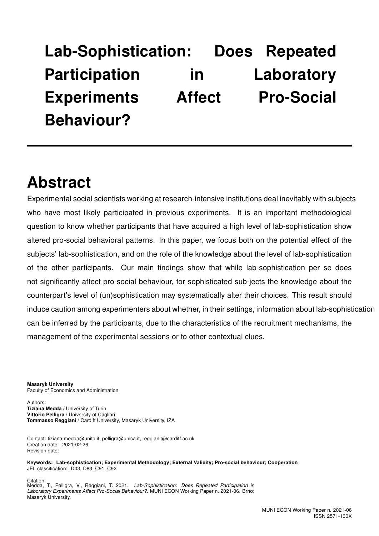# Lab-Sophistication: Does Repeated Participation in Laboratory Experiments Affect Pro-Social Behaviour?

### Abstract

Experimental social scientists working at research-intensive institutions deal inevitably with subjects who have most likely participated in previous experiments. It is an important methodological question to know whether participants that have acquired a high level of lab-sophistication show altered pro-social behavioral patterns. In this paper, we focus both on the potential effect of the subjects' lab-sophistication, and on the role of the knowledge about the level of lab-sophistication of the other participants. Our main findings show that while lab-sophistication per se does not significantly affect pro-social behaviour, for sophisticated sub-jects the knowledge about the counterpart's level of (un)sophistication may systematically alter their choices. This result should induce caution among experimenters about whether, in their settings, information about lab-sophistication can be inferred by the participants, due to the characteristics of the recruitment mechanisms, the management of the experimental sessions or to other contextual clues.

Masaryk University Faculty of Economics and Administration

Authors: Tiziana Medda / University of Turin Vittorio Pelligra / University of Cagliari Tommasso Reggiani / Cardiff University, Masaryk University, IZA

Contact: tiziana.medda@unito.it, pelligra@unica.it, reggianit@cardiff.ac.uk Creation date: 2021-02-26 Revision date:

Keywords: Lab-sophistication; Experimental Methodology; External Validity; Pro-social behaviour; Cooperation JEL classification: D03, D83, C91, C92

Citation: Medda, T., Pelligra, V., Reggiani, T. 2021. Lab-Sophistication: Does Repeated Participation in Laboratory Experiments Affect Pro-Social Behaviour?. MUNI ECON Working Paper n. 2021-06. Brno: Masaryk University.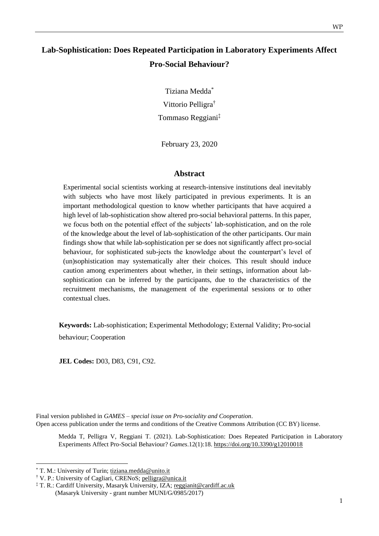### **Lab-Sophistication: Does Repeated Participation in Laboratory Experiments Affect Pro-Social Behaviour?**

Tiziana Medda \* Vittorio Pelligra† Tommaso Reggiani‡

February 23, 2020

#### **Abstract**

Experimental social scientists working at research-intensive institutions deal inevitably with subjects who have most likely participated in previous experiments. It is an important methodological question to know whether participants that have acquired a high level of lab-sophistication show altered pro-social behavioral patterns. In this paper, we focus both on the potential effect of the subjects' lab-sophistication, and on the role of the knowledge about the level of lab-sophistication of the other participants. Our main findings show that while lab-sophistication per se does not significantly affect pro-social behaviour, for sophisticated sub-jects the knowledge about the counterpart's level of (un)sophistication may systematically alter their choices. This result should induce caution among experimenters about whether, in their settings, information about labsophistication can be inferred by the participants, due to the characteristics of the recruitment mechanisms, the management of the experimental sessions or to other contextual clues.

**Keywords:** Lab-sophistication; Experimental Methodology; External Validity; Pro-social behaviour; Cooperation

**JEL Codes:** D03, D83, C91, C92.

Final version published in *GAMES – special issue on Pro-sociality and Cooperation*. Open access publication under the terms and conditions of the Creative Commons Attribution (CC BY) license.

Medda T, Pelligra V, Reggiani T. (2021). Lab-Sophistication: Does Repeated Participation in Laboratory Experiments Affect Pro-Social Behaviour? *Games*.12(1):18. https://doi.org/10.3390/g12010018

<sup>\*</sup> T. M.: University of Turin; tiziana.medda@unito.it

<sup>†</sup> V. P.: University of Cagliari, CRENoS; pelligra@unica.it

<sup>‡</sup> T. R.: Cardiff University, Masaryk University, IZA; reggianit@cardiff.ac.uk (Masaryk University - grant number MUNI/G/0985/2017)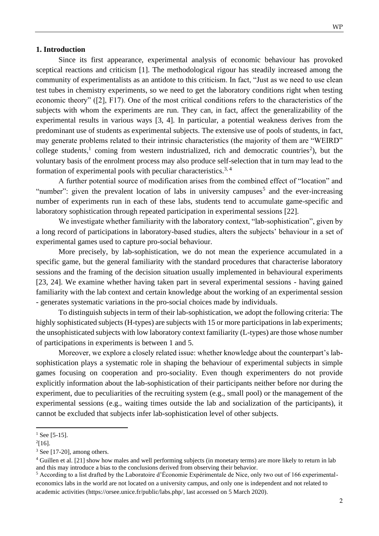#### **1. Introduction**

Since its first appearance, experimental analysis of economic behaviour has provoked sceptical reactions and criticism [1]. The methodological rigour has steadily increased among the community of experimentalists as an antidote to this criticism. In fact, "Just as we need to use clean test tubes in chemistry experiments, so we need to get the laboratory conditions right when testing economic theory" ([2], F17). One of the most critical conditions refers to the characteristics of the subjects with whom the experiments are run. They can, in fact, affect the generalizability of the experimental results in various ways [3, 4]. In particular, a potential weakness derives from the predominant use of students as experimental subjects. The extensive use of pools of students, in fact, may generate problems related to their intrinsic characteristics (the majority of them are "WEIRD" college students,<sup>1</sup> coming from western industrialized, rich and democratic countries<sup>2</sup>), but the voluntary basis of the enrolment process may also produce self-selection that in turn may lead to the formation of experimental pools with peculiar characteristics.<sup>3, 4</sup>

A further potential source of modification arises from the combined effect of "location" and "number": given the prevalent location of labs in university campuses<sup>5</sup> and the ever-increasing number of experiments run in each of these labs, students tend to accumulate game-specific and laboratory sophistication through repeated participation in experimental sessions [22].

We investigate whether familiarity with the laboratory context, "lab-sophistication", given by a long record of participations in laboratory-based studies, alters the subjects' behaviour in a set of experimental games used to capture pro-social behaviour.

More precisely, by lab-sophistication, we do not mean the experience accumulated in a specific game, but the general familiarity with the standard procedures that characterise laboratory sessions and the framing of the decision situation usually implemented in behavioural experiments [23, 24]. We examine whether having taken part in several experimental sessions - having gained familiarity with the lab context and certain knowledge about the working of an experimental session - generates systematic variations in the pro-social choices made by individuals.

To distinguish subjects in term of their lab-sophistication, we adopt the following criteria: The highly sophisticated subjects (H-types) are subjects with 15 or more participations in lab experiments; the unsophisticated subjects with low laboratory context familiarity (L-types) are those whose number of participations in experiments is between 1 and 5.

Moreover, we explore a closely related issue: whether knowledge about the counterpart's labsophistication plays a systematic role in shaping the behaviour of experimental subjects in simple games focusing on cooperation and pro-sociality. Even though experimenters do not provide explicitly information about the lab-sophistication of their participants neither before nor during the experiment, due to peculiarities of the recruiting system (e.g., small pool) or the management of the experimental sessions (e.g., waiting times outside the lab and socialization of the participants), it cannot be excluded that subjects infer lab-sophistication level of other subjects.

 $1$  See [5-15].

 $^{2}[16]$ .

<sup>3</sup> See [17-20], among others.

<sup>&</sup>lt;sup>4</sup> Guillen et al. [21] show how males and well performing subjects (in monetary terms) are more likely to return in lab and this may introduce a bias to the conclusions derived from observing their behavior.

<sup>5</sup> According to a list drafted by the Laboratoire d'Économie Expérimentale de Nice, only two out of 166 experimentaleconomics labs in the world are not located on a university campus, and only one is independent and not related to academic activities (https://orsee.unice.fr/public/labs.php/, last accessed on 5 March 2020).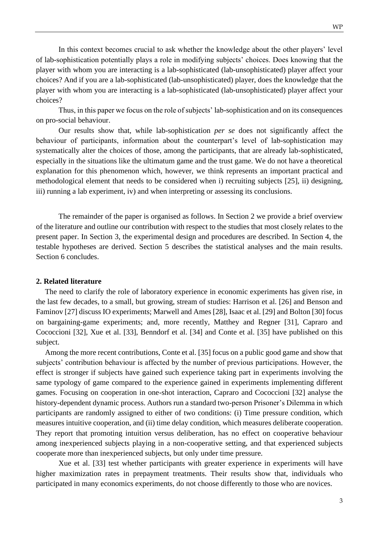In this context becomes crucial to ask whether the knowledge about the other players' level of lab-sophistication potentially plays a role in modifying subjects' choices. Does knowing that the player with whom you are interacting is a lab-sophisticated (lab-unsophisticated) player affect your choices? And if you are a lab-sophisticated (lab-unsophisticated) player, does the knowledge that the player with whom you are interacting is a lab-sophisticated (lab-unsophisticated) player affect your choices?

Thus, in this paper we focus on the role of subjects' lab-sophistication and on its consequences on pro-social behaviour.

Our results show that, while lab-sophistication *per se* does not significantly affect the behaviour of participants, information about the counterpart's level of lab-sophistication may systematically alter the choices of those, among the participants, that are already lab-sophisticated, especially in the situations like the ultimatum game and the trust game. We do not have a theoretical explanation for this phenomenon which, however, we think represents an important practical and methodological element that needs to be considered when i) recruiting subjects [25], ii) designing, iii) running a lab experiment, iv) and when interpreting or assessing its conclusions.

The remainder of the paper is organised as follows. In Section 2 we provide a brief overview of the literature and outline our contribution with respect to the studies that most closely relates to the present paper. In Section 3, the experimental design and procedures are described. In Section 4, the testable hypotheses are derived. Section 5 describes the statistical analyses and the main results. Section 6 concludes.

#### **2. Related literature**

The need to clarify the role of laboratory experience in economic experiments has given rise, in the last few decades, to a small, but growing, stream of studies: Harrison et al. [26] and Benson and Faminov [27] discuss IO experiments; Marwell and Ames [28], Isaac et al. [29] and Bolton [30] focus on bargaining-game experiments; and, more recently, Matthey and Regner [31], Capraro and Cococcioni [32], Xue et al. [33], Benndorf et al. [34] and Conte et al. [35] have published on this subject.

Among the more recent contributions, Conte et al. [35] focus on a public good game and show that subjects' contribution behaviour is affected by the number of previous participations. However, the effect is stronger if subjects have gained such experience taking part in experiments involving the same typology of game compared to the experience gained in experiments implementing different games. Focusing on cooperation in one-shot interaction, Capraro and Cococcioni [32] analyse the history-dependent dynamic process. Authors run a standard two-person Prisoner's Dilemma in which participants are randomly assigned to either of two conditions: (i) Time pressure condition, which measures intuitive cooperation, and (ii) time delay condition, which measures deliberate cooperation. They report that promoting intuition versus deliberation, has no effect on cooperative behaviour among inexperienced subjects playing in a non-cooperative setting, and that experienced subjects cooperate more than inexperienced subjects, but only under time pressure.

Xue et al. [33] test whether participants with greater experience in experiments will have higher maximization rates in prepayment treatments. Their results show that, individuals who participated in many economics experiments, do not choose differently to those who are novices.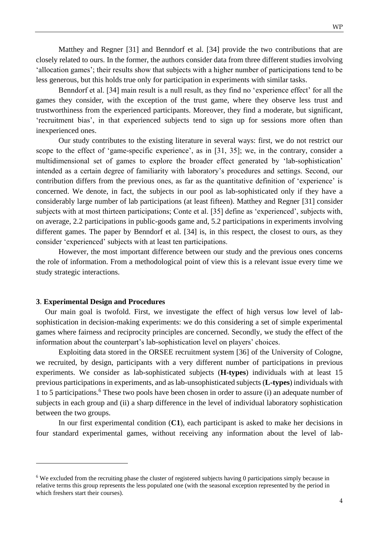Matthey and Regner [31] and Benndorf et al. [34] provide the two contributions that are closely related to ours. In the former, the authors consider data from three different studies involving 'allocation games'; their results show that subjects with a higher number of participations tend to be less generous, but this holds true only for participation in experiments with similar tasks.

Benndorf et al. [34] main result is a null result, as they find no 'experience effect' for all the games they consider, with the exception of the trust game, where they observe less trust and trustworthiness from the experienced participants. Moreover, they find a moderate, but significant, 'recruitment bias', in that experienced subjects tend to sign up for sessions more often than inexperienced ones.

Our study contributes to the existing literature in several ways: first, we do not restrict our scope to the effect of 'game-specific experience', as in [31, 35]; we, in the contrary, consider a multidimensional set of games to explore the broader effect generated by 'lab-sophistication' intended as a certain degree of familiarity with laboratory's procedures and settings. Second, our contribution differs from the previous ones, as far as the quantitative definition of 'experience' is concerned. We denote, in fact, the subjects in our pool as lab-sophisticated only if they have a considerably large number of lab participations (at least fifteen). Matthey and Regner [31] consider subjects with at most thirteen participations; Conte et al. [35] define as 'experienced', subjects with, on average, 2.2 participations in public-goods game and, 5.2 participations in experiments involving different games. The paper by Benndorf et al. [34] is, in this respect, the closest to ours, as they consider 'experienced' subjects with at least ten participations.

However, the most important difference between our study and the previous ones concerns the role of information. From a methodological point of view this is a relevant issue every time we study strategic interactions.

#### **3**. **Experimental Design and Procedures**

Our main goal is twofold. First, we investigate the effect of high versus low level of labsophistication in decision-making experiments: we do this considering a set of simple experimental games where fairness and reciprocity principles are concerned. Secondly, we study the effect of the information about the counterpart's lab-sophistication level on players' choices.

Exploiting data stored in the ORSEE recruitment system [36] of the University of Cologne, we recruited, by design, participants with a very different number of participations in previous experiments. We consider as lab-sophisticated subjects (**H-types**) individuals with at least 15 previous participations in experiments, and as lab-unsophisticated subjects (**L-types**) individuals with 1 to 5 participations.<sup>6</sup> These two pools have been chosen in order to assure (i) an adequate number of subjects in each group and (ii) a sharp difference in the level of individual laboratory sophistication between the two groups.

In our first experimental condition (**C1**), each participant is asked to make her decisions in four standard experimental games, without receiving any information about the level of lab-

<sup>6</sup> We excluded from the recruiting phase the cluster of registered subjects having 0 participations simply because in relative terms this group represents the less populated one (with the seasonal exception represented by the period in which freshers start their courses).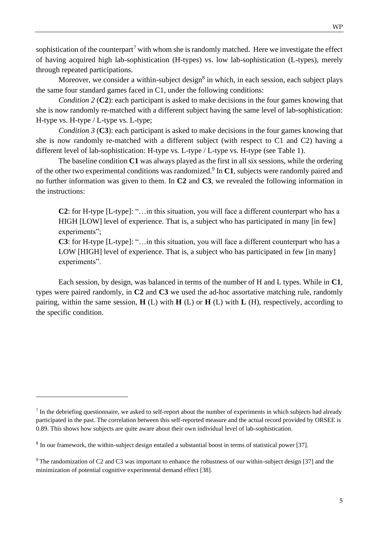sophistication of the counterpart<sup>7</sup> with whom she is randomly matched. Here we investigate the effect of having acquired high lab-sophistication (H-types) vs. low lab-sophistication (L-types), merely through repeated participations.

Moreover, we consider a within-subject design<sup>8</sup> in which, in each session, each subject plays the same four standard games faced in C1, under the following conditions:

*Condition 2 (C2):* each participant is asked to make decisions in the four games knowing that she is now randomly re-matched with a different subject having the same level of lab-sophistication: H-type vs. H-type / L-type vs. L-type;

*Condition 3 (C3):* each participant is asked to make decisions in the four games knowing that she is now randomly re-matched with a different subject (with respect to C1 and C2) having a different level of lab-sophistication: H-type vs. L-type / L-type vs. H-type (see Table 1).

The baseline condition **C1** was always played as the first in all six sessions, while the ordering of the other two experimental conditions was randomized.<sup>9</sup> In C1, subjects were randomly paired and no further information was given to them. In **C2** and **C3**, we revealed the following information in the instructions:

**C2**: for H-type [L-type]: "…in this situation, you will face a different counterpart who has a HIGH [LOW] level of experience. That is, a subject who has participated in many [in few] experiments";

**C3**: for H-type [L-type]: "…in this situation, you will face a different counterpart who has a LOW [HIGH] level of experience. That is, a subject who has participated in few [in many] experiments".

Each session, by design, was balanced in terms of the number of H and L types. While in **C1**, types were paired randomly, in **C2** and **C3** we used the ad-hoc assortative matching rule, randomly pairing, within the same session, **H** (L) with **H** (L) or **H** (L) with **L** (H), respectively, according to the specific condition.

 $<sup>7</sup>$  In the debriefing questionnaire, we asked to self-report about the number of experiments in which subjects had already</sup> participated in the past. The correlation between this self-reported measure and the actual record provided by ORSEE is 0.89. This shows how subjects are quite aware about their own individual level of lab-sophistication.

 $8$  In our framework, the within-subject design entailed a substantial boost in terms of statistical power [37].

<sup>9</sup> The randomization of C2 and C3 was important to enhance the robustness of our within-subject design [37] and the minimization of potential cognitive experimental demand effect [38].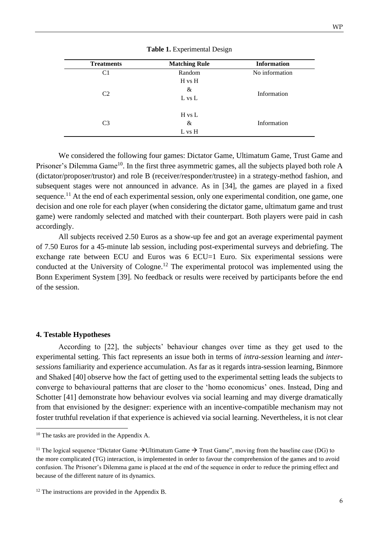| <b>Treatments</b> | <b>Matching Rule</b> | <b>Information</b> |  |
|-------------------|----------------------|--------------------|--|
| C1                | Random               | No information     |  |
|                   | H vs H               |                    |  |
| C <sub>2</sub>    | &                    | Information        |  |
|                   | L vs L               |                    |  |
|                   | H vs L               |                    |  |
| C <sub>3</sub>    | &                    | Information        |  |
|                   | L vs H               |                    |  |

**Table 1.** Experimental Design

We considered the following four games: Dictator Game, Ultimatum Game, Trust Game and Prisoner's Dilemma Game<sup>10</sup>. In the first three asymmetric games, all the subjects played both role A (dictator/proposer/trustor) and role B (receiver/responder/trustee) in a strategy-method fashion, and subsequent stages were not announced in advance. As in [34], the games are played in a fixed sequence.<sup>11</sup> At the end of each experimental session, only one experimental condition, one game, one decision and one role for each player (when considering the dictator game, ultimatum game and trust game) were randomly selected and matched with their counterpart. Both players were paid in cash accordingly.

All subjects received 2.50 Euros as a show-up fee and got an average experimental payment of 7.50 Euros for a 45-minute lab session, including post-experimental surveys and debriefing. The exchange rate between ECU and Euros was 6 ECU=1 Euro. Six experimental sessions were conducted at the University of Cologne.<sup>12</sup> The experimental protocol was implemented using the Bonn Experiment System [39]. No feedback or results were received by participants before the end of the session.

#### **4. Testable Hypotheses**

According to [22], the subjects' behaviour changes over time as they get used to the experimental setting. This fact represents an issue both in terms of *intra-session* learning and *intersessions* familiarity and experience accumulation. As far as it regards intra-session learning, Binmore and Shaked [40] observe how the fact of getting used to the experimental setting leads the subjects to converge to behavioural patterns that are closer to the 'homo economicus' ones. Instead, Ding and Schotter [41] demonstrate how behaviour evolves via social learning and may diverge dramatically from that envisioned by the designer: experience with an incentive-compatible mechanism may not foster truthful revelation if that experience is achieved via social learning. Nevertheless, it is not clear

<sup>&</sup>lt;sup>10</sup> The tasks are provided in the Appendix A.

<sup>&</sup>lt;sup>11</sup> The logical sequence "Dictator Game  $\rightarrow$  Ultimatum Game  $\rightarrow$  Trust Game", moving from the baseline case (DG) to the more complicated (TG) interaction, is implemented in order to favour the comprehension of the games and to avoid confusion. The Prisoner's Dilemma game is placed at the end of the sequence in order to reduce the priming effect and because of the different nature of its dynamics.

 $12$  The instructions are provided in the Appendix B.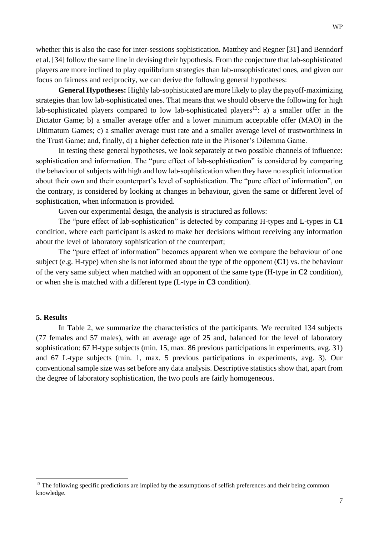whether this is also the case for inter-sessions sophistication. Matthey and Regner [31] and Benndorf et al. [34] follow the same line in devising their hypothesis. From the conjecture that lab-sophisticated players are more inclined to play equilibrium strategies than lab-unsophisticated ones, and given our focus on fairness and reciprocity, we can derive the following general hypotheses:

**General Hypotheses:** Highly lab-sophisticated are more likely to play the payoff-maximizing strategies than low lab-sophisticated ones. That means that we should observe the following for high lab-sophisticated players compared to low lab-sophisticated players<sup>13</sup>: a) a smaller offer in the Dictator Game; b) a smaller average offer and a lower minimum acceptable offer (MAO) in the Ultimatum Games; c) a smaller average trust rate and a smaller average level of trustworthiness in the Trust Game; and, finally, d) a higher defection rate in the Prisoner's Dilemma Game.

In testing these general hypotheses, we look separately at two possible channels of influence: sophistication and information. The "pure effect of lab-sophistication" is considered by comparing the behaviour of subjects with high and low lab-sophistication when they have no explicit information about their own and their counterpart's level of sophistication. The "pure effect of information", on the contrary, is considered by looking at changes in behaviour, given the same or different level of sophistication, when information is provided.

Given our experimental design, the analysis is structured as follows:

The "pure effect of lab-sophistication" is detected by comparing H-types and L-types in **C1** condition, where each participant is asked to make her decisions without receiving any information about the level of laboratory sophistication of the counterpart;

The "pure effect of information" becomes apparent when we compare the behaviour of one subject (e.g. H-type) when she is not informed about the type of the opponent (**C1**) vs. the behaviour of the very same subject when matched with an opponent of the same type (H-type in **C2** condition), or when she is matched with a different type (L-type in **C3** condition).

#### **5. Results**

In Table 2, we summarize the characteristics of the participants. We recruited 134 subjects (77 females and 57 males), with an average age of 25 and, balanced for the level of laboratory sophistication: 67 H-type subjects (min. 15, max. 86 previous participations in experiments, avg. 31) and 67 L-type subjects (min. 1, max. 5 previous participations in experiments, avg. 3). Our conventional sample size was set before any data analysis. Descriptive statistics show that, apart from the degree of laboratory sophistication, the two pools are fairly homogeneous.

<sup>&</sup>lt;sup>13</sup> The following specific predictions are implied by the assumptions of selfish preferences and their being common knowledge.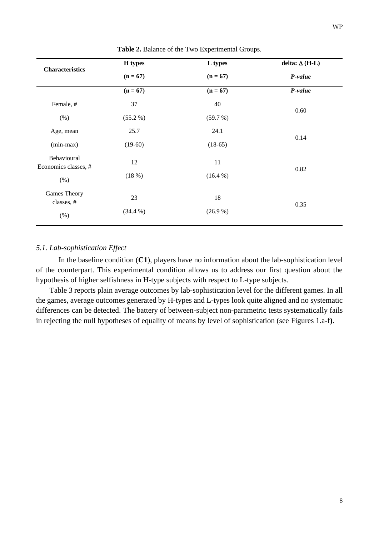|                                     | H types    | L types    | delta: $\Delta$ (H-L) |
|-------------------------------------|------------|------------|-----------------------|
| <b>Characteristics</b>              | $(n = 67)$ | $(n = 67)$ | P-value               |
|                                     | $(n = 67)$ | $(n = 67)$ | P-value               |
| Female, #                           | 37         | 40         |                       |
| (% )                                | $(55.2\%)$ | (59.7%)    | 0.60                  |
| Age, mean                           | 25.7       | 24.1       |                       |
| $(min-max)$                         | $(19-60)$  | $(18-65)$  | 0.14                  |
| Behavioural<br>Economics classes, # | 12         | 11         | 0.82                  |
| (% )                                | (18%)      | $(16.4\%)$ |                       |
| <b>Games Theory</b><br>classes, #   | 23         | 18         | 0.35                  |
| (% )                                | (34.4 %)   | (26.9%)    |                       |

**Table 2.** Balance of the Two Experimental Groups.

#### *5.1. Lab-sophistication Effect*

In the baseline condition (**C1**), players have no information about the lab-sophistication level of the counterpart. This experimental condition allows us to address our first question about the hypothesis of higher selfishness in H-type subjects with respect to L-type subjects.

Table 3 reports plain average outcomes by lab-sophistication level for the different games. In all the games, average outcomes generated by H-types and L-types look quite aligned and no systematic differences can be detected. The battery of between-subject non-parametric tests systematically fails in rejecting the null hypotheses of equality of means by level of sophistication (see Figures 1.a-f**)**.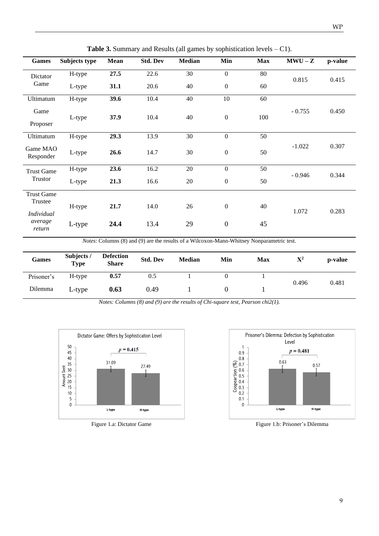| <b>Games</b>                 | Subjects type | <b>Mean</b> | <b>Std. Dev</b> | <b>Median</b> | Min              | <b>Max</b>       | $MWU-Z$  | p-value |
|------------------------------|---------------|-------------|-----------------|---------------|------------------|------------------|----------|---------|
| Dictator<br>Game             | H-type        | 27.5        | 22.6            | 30            | $\mathbf{0}$     | 80               |          |         |
|                              |               | L-type      | 31.1            | 20.6          | 40               | $\boldsymbol{0}$ | 60       | 0.815   |
| Ultimatum                    | H-type        | 39.6        | 10.4            | 40            | 10               | 60               |          |         |
| Game                         | L-type        | 37.9        | 10.4            | 40            | $\boldsymbol{0}$ | 100              | $-0.755$ | 0.450   |
| Proposer                     |               |             |                 |               |                  |                  |          |         |
| Ultimatum                    | H-type        | 29.3        | 13.9            | 30            | $\mathbf{0}$     | 50               |          |         |
| Game MAO<br>Responder        | L-type        |             | 14.7            | 30            | $\boldsymbol{0}$ | 50               | $-1.022$ | 0.307   |
| <b>Trust Game</b>            | H-type        | 23.6        | 16.2            | 20            | $\mathbf{0}$     | 50               |          | 0.344   |
| Trustor                      | L-type        | 21.3        | 16.6            | 20            | $\boldsymbol{0}$ | 50               | $-0.946$ |         |
| <b>Trust Game</b>            |               |             |                 |               |                  |                  |          |         |
| Trustee<br><i>Individual</i> | H-type        | 21.7        | 14.0            | 26            | $\overline{0}$   | 40               | 1.072    | 0.283   |
| average<br>return            | L-type        | 24.4        | 13.4            | 29            | $\boldsymbol{0}$ | 45               |          |         |

**Table 3.** Summary and Results (all games by sophistication levels – C1).

*Notes*: Columns (8) and (9) are the results of a Wilcoxon-Mann-Whitney Nonparametric test.

| Games      | Subjects /<br><b>Type</b> | <b>Defection</b><br><b>Share</b> | <b>Std. Dev</b> | <b>Median</b> | Min | Max | $\mathrm{X}^2$ | p-value |
|------------|---------------------------|----------------------------------|-----------------|---------------|-----|-----|----------------|---------|
| Prisoner's | H-type                    | 0.57                             | 0.5             |               |     |     |                |         |
| Dilemma    | L-type                    | 0.63                             | 0.49            |               |     |     | 0.496          | 0.481   |

*Notes: Columns (8) and (9) are the results of Chi-square test, Pearson chi2(1).*





Figure 1.a: Dictator Game Figure 1.b: Prisoner's Dilemma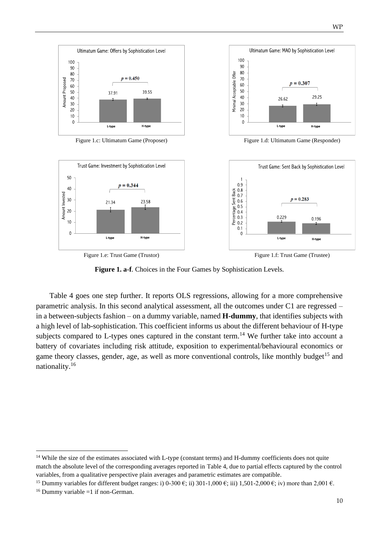

Figure 1.c: Ultimatum Game (Proposer) Figure 1.d: Ultimatum Game (Responder)





**Figure 1. a-f**. Choices in the Four Games by Sophistication Levels.

Table 4 goes one step further. It reports OLS regressions, allowing for a more comprehensive parametric analysis. In this second analytical assessment, all the outcomes under C1 are regressed – in a between-subjects fashion – on a dummy variable, named **H-dummy**, that identifies subjects with a high level of lab-sophistication. This coefficient informs us about the different behaviour of H-type subjects compared to L-types ones captured in the constant term.<sup>14</sup> We further take into account a battery of covariates including risk attitude, exposition to experimental/behavioural economics or game theory classes, gender, age, as well as more conventional controls, like monthly budget<sup>15</sup> and nationality.<sup>16</sup>

<sup>&</sup>lt;sup>14</sup> While the size of the estimates associated with L-type (constant terms) and H-dummy coefficients does not quite match the absolute level of the corresponding averages reported in Table 4, due to partial effects captured by the control variables, from a qualitative perspective plain averages and parametric estimates are compatible.

<sup>&</sup>lt;sup>15</sup> Dummy variables for different budget ranges: i) 0-300 €; ii) 301-1,000 €; iii) 1,501-2,000 €; iv) more than 2,001 €.

 $16$  Dummy variable =1 if non-German.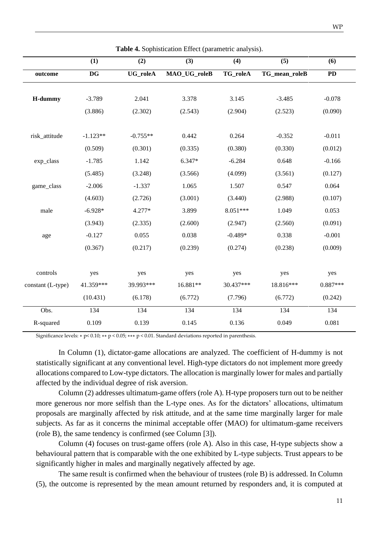|                   | (1)        | (2)             | (3)          | (4)       | (5)           | (6)        |
|-------------------|------------|-----------------|--------------|-----------|---------------|------------|
| outcome           | <b>DG</b>  | <b>UG_roleA</b> | MAO_UG_roleB | TG_roleA  | TG_mean_roleB | <b>PD</b>  |
|                   |            |                 |              |           |               |            |
| H-dummy           | $-3.789$   | 2.041           | 3.378        | 3.145     | $-3.485$      | $-0.078$   |
|                   | (3.886)    | (2.302)         | (2.543)      | (2.904)   | (2.523)       | (0.090)    |
| risk_attitude     | $-1.123**$ | $-0.755**$      | 0.442        | 0.264     | $-0.352$      | $-0.011$   |
|                   | (0.509)    | (0.301)         | (0.335)      | (0.380)   | (0.330)       | (0.012)    |
| exp_class         | $-1.785$   | 1.142           | 6.347*       | $-6.284$  | 0.648         | $-0.166$   |
|                   | (5.485)    | (3.248)         | (3.566)      | (4.099)   | (3.561)       | (0.127)    |
| game_class        | $-2.006$   | $-1.337$        | 1.065        | 1.507     | 0.547         | 0.064      |
|                   | (4.603)    | (2.726)         | (3.001)      | (3.440)   | (2.988)       | (0.107)    |
| male              | $-6.928*$  | 4.277*          | 3.899        | 8.051***  | 1.049         | 0.053      |
|                   | (3.943)    | (2.335)         | (2.600)      | (2.947)   | (2.560)       | (0.091)    |
| age               | $-0.127$   | 0.055           | 0.038        | $-0.489*$ | 0.338         | $-0.001$   |
|                   | (0.367)    | (0.217)         | (0.239)      | (0.274)   | (0.238)       | (0.009)    |
| controls          | yes        | yes             | yes          | yes       | yes           | yes        |
| constant (L-type) | 41.359***  | 39.993***       | 16.881**     | 30.437*** | 18.816***     | $0.887***$ |
|                   | (10.431)   | (6.178)         | (6.772)      | (7.796)   | (6.772)       | (0.242)    |
| Obs.              | 134        | 134             | 134          | 134       | 134           | 134        |
| R-squared         | 0.109      | 0.139           | 0.145        | 0.136     | 0.049         | 0.081      |

**Table 4.** Sophistication Effect (parametric analysis).

Significance levels: ∗ p< 0.10; ∗∗ p < 0.05; ∗∗∗ p < 0.01. Standard deviations reported in parenthesis.

In Column (1), dictator-game allocations are analyzed. The coefficient of H-dummy is not statistically significant at any conventional level. High-type dictators do not implement more greedy allocations compared to Low-type dictators. The allocation is marginally lower for males and partially affected by the individual degree of risk aversion.

Column (2) addresses ultimatum-game offers (role A). H-type proposers turn out to be neither more generous nor more selfish than the L-type ones. As for the dictators' allocations, ultimatum proposals are marginally affected by risk attitude, and at the same time marginally larger for male subjects. As far as it concerns the minimal acceptable offer (MAO) for ultimatum-game receivers (role B), the same tendency is confirmed (see Column [3]).

Column (4) focuses on trust-game offers (role A). Also in this case, H-type subjects show a behavioural pattern that is comparable with the one exhibited by L-type subjects. Trust appears to be significantly higher in males and marginally negatively affected by age.

The same result is confirmed when the behaviour of trustees (role B) is addressed. In Column (5), the outcome is represented by the mean amount returned by responders and, it is computed at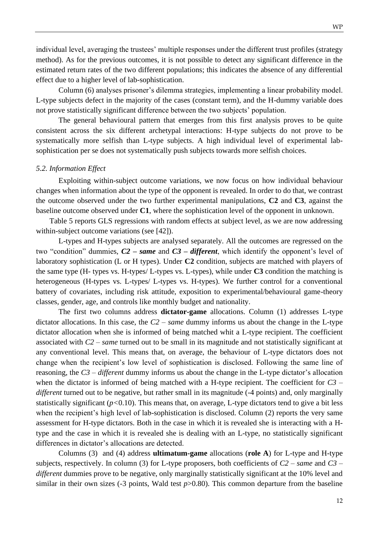individual level, averaging the trustees' multiple responses under the different trust profiles (strategy method). As for the previous outcomes, it is not possible to detect any significant difference in the estimated return rates of the two different populations; this indicates the absence of any differential effect due to a higher level of lab-sophistication.

Column (6) analyses prisoner's dilemma strategies, implementing a linear probability model. L-type subjects defect in the majority of the cases (constant term), and the H-dummy variable does not prove statistically significant difference between the two subjects' population.

The general behavioural pattern that emerges from this first analysis proves to be quite consistent across the six different archetypal interactions: H-type subjects do not prove to be systematically more selfish than L-type subjects. A high individual level of experimental labsophistication per se does not systematically push subjects towards more selfish choices.

#### *5.2. Information Effect*

Exploiting within-subject outcome variations, we now focus on how individual behaviour changes when information about the type of the opponent is revealed. In order to do that, we contrast the outcome observed under the two further experimental manipulations, **C2** and **C3**, against the baseline outcome observed under **C1**, where the sophistication level of the opponent in unknown.

Table 5 reports GLS regressions with random effects at subject level, as we are now addressing within-subject outcome variations (see [42]).

L-types and H-types subjects are analysed separately. All the outcomes are regressed on the two "condition" dummies, *C2 – same* and *C3 – different*, which identify the opponent's level of laboratory sophistication (L or H types). Under **C2** condition, subjects are matched with players of the same type (H- types vs. H-types/ L-types vs. L-types), while under **C3** condition the matching is heterogeneous (H-types vs. L-types/ L-types vs. H-types). We further control for a conventional battery of covariates, including risk attitude, exposition to experimental/behavioural game-theory classes, gender, age, and controls like monthly budget and nationality.

The first two columns address **dictator-game** allocations. Column (1) addresses L-type dictator allocations. In this case, the *C2 – same* dummy informs us about the change in the L-type dictator allocation when she is informed of being matched whit a L-type recipient. The coefficient associated with *C2 – same* turned out to be small in its magnitude and not statistically significant at any conventional level. This means that, on average, the behaviour of L-type dictators does not change when the recipient's low level of sophistication is disclosed. Following the same line of reasoning, the *C3 – different* dummy informs us about the change in the L-type dictator's allocation when the dictator is informed of being matched with a H-type recipient. The coefficient for  $C3$  – *different* turned out to be negative, but rather small in its magnitude (-4 points) and, only marginally statistically significant  $(p<0.10)$ . This means that, on average, L-type dictators tend to give a bit less when the recipient's high level of lab-sophistication is disclosed. Column (2) reports the very same assessment for H-type dictators. Both in the case in which it is revealed she is interacting with a Htype and the case in which it is revealed she is dealing with an L-type, no statistically significant differences in dictator's allocations are detected.

Columns (3) and (4) address **ultimatum-game** allocations (**role A**) for L-type and H-type subjects, respectively. In column (3) for L-type proposers, both coefficients of *C2 – same* and *C3 – different* dummies prove to be negative, only marginally statistically significant at the 10% level and similar in their own sizes  $(-3 \text{ points}, \text{Wald test } p > 0.80)$ . This common departure from the baseline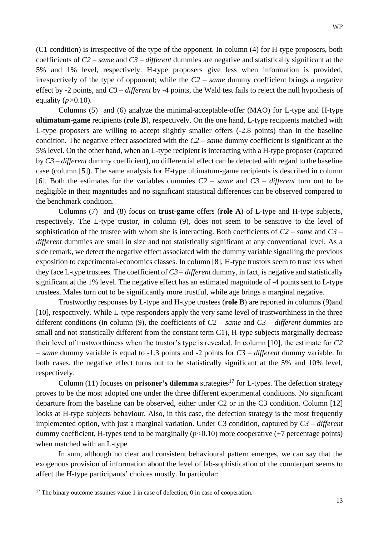(C1 condition) is irrespective of the type of the opponent. In column (4) for H-type proposers, both coefficients of *C2 – same* and *C3 – different* dummies are negative and statistically significant at the 5% and 1% level, respectively. H-type proposers give less when information is provided, irrespectively of the type of opponent; while the *C2 – same* dummy coefficient brings a negative effect by -2 points, and *C3 – different* by -4 points, the Wald test fails to reject the null hypothesis of equality (*p>*0.10).

Columns (5) and (6) analyze the minimal-acceptable-offer (MAO) for L-type and H-type **ultimatum-game** recipients (**role B**), respectively. On the one hand, L-type recipients matched with L-type proposers are willing to accept slightly smaller offers (-2.8 points) than in the baseline condition. The negative effect associated with the *C2 – same* dummy coefficient is significant at the 5% level. On the other hand, when an L-type recipient is interacting with a H-type proposer (captured by *C3 – different* dummy coefficient), no differential effect can be detected with regard to the baseline case (column [5]). The same analysis for H-type ultimatum-game recipients is described in column [6]. Both the estimates for the variables dummies *C2 – same* and *C3 – different* turn out to be negligible in their magnitudes and no significant statistical differences can be observed compared to the benchmark condition.

Columns (7) and (8) focus on **trust-game** offers (**role A**) of L-type and H-type subjects, respectively. The L-type trustor, in column (9), does not seem to be sensitive to the level of sophistication of the trustee with whom she is interacting. Both coefficients of *C2 – same* and *C3 – different* dummies are small in size and not statistically significant at any conventional level. As a side remark, we detect the negative effect associated with the dummy variable signalling the previous exposition to experimental-economics classes. In column [8], H-type trustors seem to trust less when they face L-type trustees*.* The coefficient of *C3 – different* dummy, in fact, is negative and statistically significant at the 1% level. The negative effect has an estimated magnitude of -4 points sent to L-type trustees. Males turn out to be significantly more trustful, while age brings a marginal negative.

Trustworthy responses by L-type and H-type trustees (**role B**) are reported in columns (9)and [10], respectively. While L-type responders apply the very same level of trustworthiness in the three different conditions (in column (9), the coefficients of *C2 – same* and *C3 – different* dummies are small and not statistically different from the constant term C1), H-type subjects marginally decrease their level of trustworthiness when the trustor's type is revealed. In column [10], the estimate for *C2 – same* dummy variable is equal to -1.3 points and -2 points for *C3 – different* dummy variable. In both cases, the negative effect turns out to be statistically significant at the 5% and 10% level, respectively.

Column  $(11)$  focuses on **prisoner's dilemma** strategies<sup>17</sup> for L-types. The defection strategy proves to be the most adopted one under the three different experimental conditions. No significant departure from the baseline can be observed, either under C2 or in the C3 condition. Column [12] looks at H-type subjects behaviour. Also, in this case, the defection strategy is the most frequently implemented option, with just a marginal variation. Under C3 condition, captured by *C3 – different*  dummy coefficient, H-types tend to be marginally (*p<*0.10) more cooperative (+7 percentage points) when matched with an L-type*.*

In sum, although no clear and consistent behavioural pattern emerges, we can say that the exogenous provision of information about the level of lab-sophistication of the counterpart seems to affect the H-type participants' choices mostly. In particular:

<sup>&</sup>lt;sup>17</sup> The binary outcome assumes value 1 in case of defection, 0 in case of cooperation.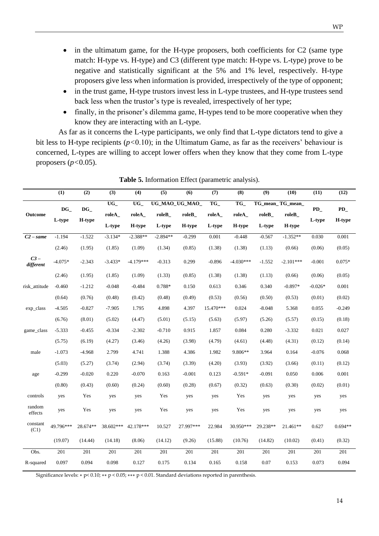- in the ultimatum game, for the H-type proposers, both coefficients for C2 (same type
- match: H-type vs. H-type) and C3 (different type match: H-type vs. L-type) prove to be negative and statistically significant at the 5% and 1% level, respectively. H-type proposers give less when information is provided, irrespectively of the type of opponent;
- in the trust game, H-type trustors invest less in L-type trustees, and H-type trustees send back less when the trustor's type is revealed, irrespectively of her type;
- finally, in the prisoner's dilemma game, H-types tend to be more cooperative when they know they are interacting with an L-type*.*

As far as it concerns the L-type participants, we only find that L-type dictators tend to give a bit less to H-type recipients (*p<*0.10); in the Ultimatum Game, as far as the receivers' behaviour is concerned, L-types are willing to accept lower offers when they know that they come from L-type proposers (*p<*0.05).

|                     | (1)       | (2)                    | (3)             | (4)                        | (5)        | (6)            | $\overline{(7)}$ | (8)         | (9)      | (10)             | (11)      | (12)      |
|---------------------|-----------|------------------------|-----------------|----------------------------|------------|----------------|------------------|-------------|----------|------------------|-----------|-----------|
|                     | $DG_{-}$  | $\mathbf{D}\mathbf{G}$ | $\overline{UG}$ | $\overline{\text{UG}}_{-}$ |            | UG_MAO_UG_MAO_ | TG               | TG          |          | TG_mean_TG_mean_ | $\bf PD$  | PD        |
| Outcome             | L-type    | H-type                 | roleA_          | roleA_                     | roleB_     | $roleB_$       | roleA_           | roleA       | roleB_   | $roleB_$         | L-type    | H-type    |
|                     |           |                        | L-type          | H-type                     | L-type     | H-type         | L-type           | H-type      | L-type   | H-type           |           |           |
| $C2$ – same         | $-1.194$  | $-1.522$               | $-3.134*$       | $-2.388**$                 | $-2.894**$ | $-0.299$       | 0.001            | $-0.448$    | $-0.567$ | $-1.352**$       | 0.030     | 0.001     |
|                     | (2.46)    | (1.95)                 | (1.85)          | (1.09)                     | (1.34)     | (0.85)         | (1.38)           | (1.38)      | (1.13)   | (0.66)           | (0.06)    | (0.05)    |
| $C3 -$<br>different | $-4.075*$ | $-2.343$               | $-3.433*$       | $-4.179***$                | $-0.313$   | 0.299          | $-0.896$         | $-4.030***$ | $-1.552$ | $-2.101***$      | $-0.001$  | $0.075*$  |
|                     | (2.46)    | (1.95)                 | (1.85)          | (1.09)                     | (1.33)     | (0.85)         | (1.38)           | (1.38)      | (1.13)   | (0.66)           | (0.06)    | (0.05)    |
| risk attitude       | $-0.460$  | $-1.212$               | $-0.048$        | $-0.484$                   | 0.788*     | 0.150          | 0.613            | 0.346       | 0.340    | $-0.897*$        | $-0.026*$ | 0.001     |
|                     | (0.64)    | (0.76)                 | (0.48)          | (0.42)                     | (0.48)     | (0.49)         | (0.53)           | (0.56)      | (0.50)   | (0.53)           | (0.01)    | (0.02)    |
| exp_class           | $-4.505$  | $-0.827$               | $-7.905$        | 1.795                      | 4.898      | 4.397          | 15.470***        | 0.024       | $-8.048$ | 5.368            | 0.055     | $-0.249$  |
|                     | (6.76)    | (8.01)                 | (5.02)          | (4.47)                     | (5.01)     | (5.15)         | (5.63)           | (5.97)      | (5.26)   | (5.57)           | (0.15)    | (0.18)    |
| game_class          | $-5.333$  | $-0.455$               | $-0.334$        | $-2.302$                   | $-0.710$   | 0.915          | 1.857            | 0.084       | 0.280    | $-3.332$         | 0.021     | 0.027     |
|                     | (5.75)    | (6.19)                 | (4.27)          | (3.46)                     | (4.26)     | (3.98)         | (4.79)           | (4.61)      | (4.48)   | (4.31)           | (0.12)    | (0.14)    |
| male                | $-1.073$  | $-4.968$               | 2.799           | 4.741                      | 1.388      | 4.386          | 1.982            | 9.806**     | 3.964    | 0.164            | $-0.076$  | 0.068     |
|                     | (5.03)    | (5.27)                 | (3.74)          | (2.94)                     | (3.74)     | (3.39)         | (4.20)           | (3.93)      | (3.92)   | (3.66)           | (0.11)    | (0.12)    |
| age                 | $-0.299$  | $-0.020$               | 0.220           | $-0.070$                   | 0.163      | $-0.001$       | 0.123            | $-0.591*$   | $-0.091$ | 0.050            | 0.006     | 0.001     |
|                     | (0.80)    | (0.43)                 | (0.60)          | (0.24)                     | (0.60)     | (0.28)         | (0.67)           | (0.32)      | (0.63)   | (0.30)           | (0.02)    | (0.01)    |
| controls            | yes       | Yes                    | yes             | yes                        | Yes        | yes            | yes              | Yes         | yes      | yes              | yes       | yes       |
| random<br>effects   | yes       | Yes                    | yes             | yes                        | Yes        | yes            | yes              | Yes         | yes      | yes              | yes       | yes       |
| constant<br>(C1)    | 49.796*** | 28.674**               | 38.602***       | 42.178***                  | 10.527     | 27.997***      | 22.984           | 30.950***   | 29.238** | 21.461**         | 0.627     | $0.694**$ |
|                     | (19.07)   | (14.44)                | (14.18)         | (8.06)                     | (14.12)    | (9.26)         | (15.88)          | (10.76)     | (14.82)  | (10.02)          | (0.41)    | (0.32)    |
| Obs.                | 201       | 201                    | 201             | 201                        | 201        | 201            | 201              | 201         | 201      | 201              | 201       | 201       |
| R-squared           | 0.097     | 0.094                  | 0.098           | 0.127                      | 0.175      | 0.134          | 0.165            | 0.158       | 0.07     | 0.153            | 0.073     | 0.094     |

**Table 5.** Information Effect (parametric analysis).

Significance levels: ∗ p< 0.10; ∗∗ p < 0.05; ∗∗∗ p < 0.01. Standard deviations reported in parenthesis.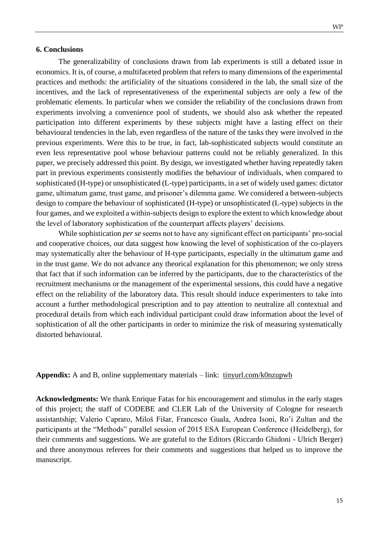#### **6. Conclusions**

The generalizability of conclusions drawn from lab experiments is still a debated issue in economics. It is, of course, a multifaceted problem that refers to many dimensions of the experimental practices and methods: the artificiality of the situations considered in the lab, the small size of the incentives, and the lack of representativeness of the experimental subjects are only a few of the problematic elements. In particular when we consider the reliability of the conclusions drawn from experiments involving a convenience pool of students, we should also ask whether the repeated participation into different experiments by these subjects might have a lasting effect on their behavioural tendencies in the lab, even regardless of the nature of the tasks they were involved in the previous experiments. Were this to be true, in fact, lab-sophisticated subjects would constitute an even less representative pool whose behaviour patterns could not be reliably generalized. In this paper, we precisely addressed this point. By design, we investigated whether having repeatedly taken part in previous experiments consistently modifies the behaviour of individuals, when compared to sophisticated (H-type) or unsophisticated (L-type) participants, in a set of widely used games: dictator game, ultimatum game, trust game, and prisoner's dilemma game. We considered a between-subjects design to compare the behaviour of sophisticated (H-type) or unsophisticated (L-type) subjects in the four games, and we exploited a within-subjects design to explore the extent to which knowledge about the level of laboratory sophistication of the counterpart affects players' decisions.

While sophistication *per se* seems not to have any significant effect on participants' pro-social and cooperative choices, our data suggest how knowing the level of sophistication of the co-players may systematically alter the behaviour of H-type participants, especially in the ultimatum game and in the trust game. We do not advance any theorical explanation for this phenomenon; we only stress that fact that if such information can be inferred by the participants, due to the characteristics of the recruitment mechanisms or the management of the experimental sessions, this could have a negative effect on the reliability of the laboratory data. This result should induce experimenters to take into account a further methodological prescription and to pay attention to neutralize all contextual and procedural details from which each individual participant could draw information about the level of sophistication of all the other participants in order to minimize the risk of measuring systematically distorted behavioural.

**Appendix:** A and B, online supplementary materials – link: tinyurl.com/k0nzupwb

**Acknowledgments:** We thank Enrique Fatas for his encouragement and stimulus in the early stages of this project; the staff of CODEBE and CLER Lab of the University of Cologne for research assistantship; Valerio Capraro, Miloš Fišar, Francesco Guala, Andrea Isoni, Ro'i Zultan and the participants at the "Methods" parallel session of 2015 ESA European Conference (Heidelberg), for their comments and suggestions. We are grateful to the Editors (Riccardo Ghidoni - Ulrich Berger) and three anonymous referees for their comments and suggestions that helped us to improve the manuscript.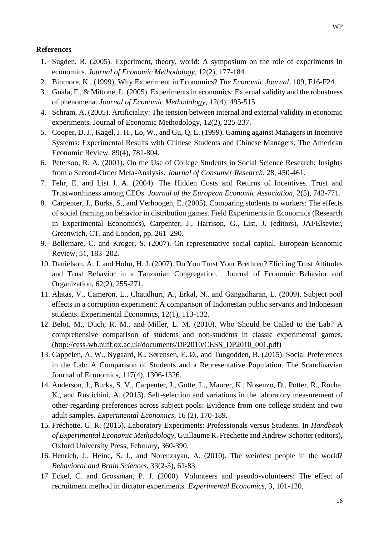#### **References**

- 1. Sugden, R. (2005). Experiment, theory, world: A symposium on the role of experiments in economics. *Journal of Economic Methodology*, 12(2), 177-184.
- 2. Binmore, K., (1999), Why Experiment in Economics? *The Economic Journal*, 109, F16-F24.
- 3. Guala, F., & Mittone, L. (2005). Experiments in economics: External validity and the robustness of phenomena. *Journal of Economic Methodology*, 12(4), 495-515.
- 4. Schram, A. (2005). Artificiality: The tension between internal and external validity in economic experiments. Journal of Economic Methodology, 12(2), 225-237.
- 5. Cooper, D. J., Kagel, J. H., Lo, W., and Gu, Q. L. (1999). Gaming against Managers in Incentive Systems: Experimental Results with Chinese Students and Chinese Managers. The American Economic Review, 89(4), 781-804.
- 6. Peterson, R. A. (2001). On the Use of College Students in Social Science Research: Insights from a Second-Order Meta-Analysis. *Journal of Consumer Research*, 28, 450-461.
- 7. Fehr, E. and List J. A. (2004). The Hidden Costs and Returns of Incentives. Trust and Trustworthiness among CEOs. *Journal of the European Economic Association*, 2(5), 743-771.
- 8. Carpenter, J., Burks, S., and Verhoogen, E. (2005). Comparing students to workers: The effects of social framing on behavior in distribution games. Field Experiments in Economics (Research in Experimental Economics), Carpenter, J., Harrison, G., List, J. (editors), JAI/Elsevier, Greenwich, CT, and London, pp. 261–290.
- 9. Bellemare, C. and Kroger, S. (2007). On representative social capital. European Economic Review, 51, 183–202.
- 10. Danielson, A. J. and Holm, H. J. (2007). Do You Trust Your Brethren? Eliciting Trust Attitudes and Trust Behavior in a Tanzanian Congregation. Journal of Economic Behavior and Organization, 62(2), 255-271.
- 11. Alatas, V., Cameron, L., Chaudhuri, A., Erkal, N., and Gangadharan, L. (2009). Subject pool effects in a corruption experiment: A comparison of Indonesian public servants and Indonesian students. Experimental Economics, 12(1), 113-132.
- 12. Belot, M., Duch, R. M., and Miller, L. M. (2010). Who Should be Called to the Lab? A comprehensive comparison of students and non-students in classic experimental games. (http://cess-wb.nuff.ox.ac.uk/documents/DP2010/CESS\_DP2010\_001.pdf)
- 13. Cappelen, A. W., Nygaard, K., Sørensen, E. Ø., and Tungodden, B. (2015). Social Preferences in the Lab: A Comparison of Students and a Representative Population. The Scandinavian Journal of Economics, 117(4), 1306-1326.
- 14. Anderson, J., Burks, S. V., Carpenter, J., Götte, L., Maurer, K., Nosenzo, D., Potter, R., Rocha, K., and Rustichini, A. (2013). Self-selection and variations in the laboratory measurement of other-regarding preferences across subject pools: Evidence from one college student and two adult samples. *Experimental Economics*, 16 (2), 170-189.
- 15. Fréchette, G. R. (2015). Laboratory Experiments: Professionals versus Students. In *Handbook of Experimental Economic Methodology*, Guillaume R. Fréchette and Andrew Schotter (editors), Oxford University Press, February, 360**-**390.
- 16. Henrich, J., Heine, S. J., and Norenzayan, A. (2010). The weirdest people in the world? *Behavioral and Brain Sciences*, 33(2-3), 61-83.
- 17. Eckel, C. and Grossman, P. J. (2000). Volunteers and pseudo-volunteers: The effect of recruitment method in dictator experiments. *Experimental Economics*, 3, 101-120.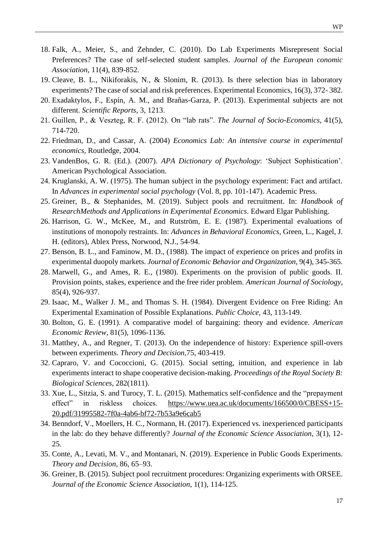- 18. Falk, A., Meier, S., and Zehnder, C. (2010). Do Lab Experiments Misrepresent Social Preferences? The case of self-selected student samples. *Journal of the European conomic Association*, 11(4), 839-852.
- 19. Cleave, B. L., Nikiforakis, N., & Slonim, R. (2013). Is there selection bias in laboratory experiments? The case of social and risk preferences. Experimental Economics, 16(3), 372- 382.
- 20. Exadaktylos, F., Espín, A. M., and Brañas-Garza, P. (2013). Experimental subjects are not different. *Scientific Reports*, 3, 1213.
- 21. Guillen, P., & Veszteg, R. F. (2012). On "lab rats". *The Journal of Socio-Economics*, 41(5), 714-720.
- 22. Friedman, D., and Cassar, A. (2004) *Economics Lab: An intensive course in experimental economics*, Routledge, 2004.
- 23. VandenBos, G. R. (Ed.). (2007). *APA Dictionary of Psychology*: 'Subject Sophistication'. American Psychological Association.
- 24. Kruglanski, A. W. (1975). The human subject in the psychology experiment: Fact and artifact. In *Advances in experimental social psychology* (Vol. 8, pp. 101-147). Academic Press.
- 25. Greiner, B., & Stephanides, M. (2019). Subject pools and recruitment. In: *Handbook of ResearchMethods and Applications in Experimental Economics*. Edward Elgar Publishing.
- 26. Harrison, G. W., McKee, M., and Rutström, E. E. (1987). Experimental evaluations of institutions of monopoly restraints. In: *Advances in Behavioral Economics*, Green, L., Kagel, J. H. (editors), Ablex Press, Norwood, N.J., 54-94.
- 27. Benson, B. L., and Faminow, M. D., (1988). The impact of experience on prices and profits in experimental duopoly markets. *Journal of Economic Behavior and Organization*, 9(4), 345-365.
- 28. Marwell, G., and Ames, R. E., (1980). Experiments on the provision of public goods. II. Provision points, stakes, experience and the free rider problem. *American Journal of Sociology*, 85(4), 926-937.
- 29. Isaac, M., Walker J. M., and Thomas S. H. (1984). Divergent Evidence on Free Riding: An Experimental Examination of Possible Explanations. *Public Choice,* 43, 113-149.
- 30. Bolton, G. E. (1991). A comparative model of bargaining: theory and evidence. *American Economic Review*, 81(5), 1096-1136.
- 31. Matthey, A., and Regner, T. (2013). On the independence of history: Experience spill-overs between experiments. *Theory and Decision,*75, 403-419.
- 32. Capraro, V. and Cococcioni, G. (2015). Social setting, intuition, and experience in lab experiments interact to shape cooperative decision-making. *Proceedings of the Royal Society B: Biological Sciences,* 282(1811).
- 33. Xue, L., Sitzia, S. and Turocy, T. L. (2015). Mathematics self-confidence and the "prepayment effect" in riskless choices. https://www.uea.ac.uk/documents/166500/0/CBESS+15- 20.pdf/31995582-7f0a-4ab6-bf72-7b53a9e6cab5
- 34. Benndorf, V., Moellers, H. C., Normann, H. (2017). Experienced vs. inexperienced participants in the lab: do they behave differently? *Journal of the Economic Science Association,* 3(1), 12- 25.
- 35. Conte, A., Levati, M. V., and Montanari, N. (2019). Experience in Public Goods Experiments. *Theory and Decision*, 86, 65–93.
- 36. Greiner, B. (2015). Subject pool recruitment procedures: Organizing experiments with ORSEE. *Journal of the Economic Science Association*, 1(1), 114-125.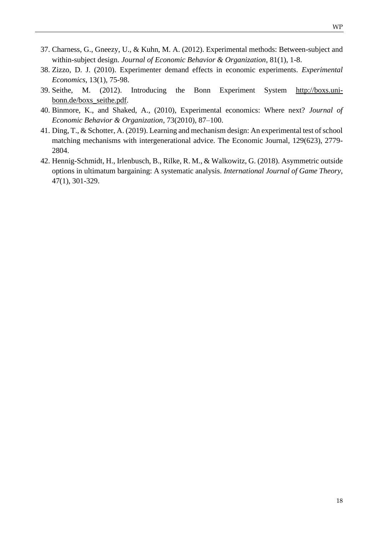- 37. Charness, G., Gneezy, U., & Kuhn, M. A. (2012). Experimental methods: Between-subject and within-subject design. *Journal of Economic Behavior & Organization*, 81(1), 1-8.
- 38. Zizzo, D. J. (2010). Experimenter demand effects in economic experiments. *Experimental Economics*, 13(1), 75-98.
- 39. Seithe, M. (2012). Introducing the Bonn Experiment System http://boxs.unibonn.de/boxs\_seithe.pdf.
- 40. Binmore, K., and Shaked, A., (2010), Experimental economics: Where next? *Journal of Economic Behavior & Organization*, 73(2010), 87–100.
- 41. Ding, T., & Schotter, A. (2019). Learning and mechanism design: An experimental test of school matching mechanisms with intergenerational advice. The Economic Journal, 129(623), 2779- 2804.
- 42. Hennig-Schmidt, H., Irlenbusch, B., Rilke, R. M., & Walkowitz, G. (2018). Asymmetric outside options in ultimatum bargaining: A systematic analysis. *International Journal of Game Theory*, 47(1), 301-329.